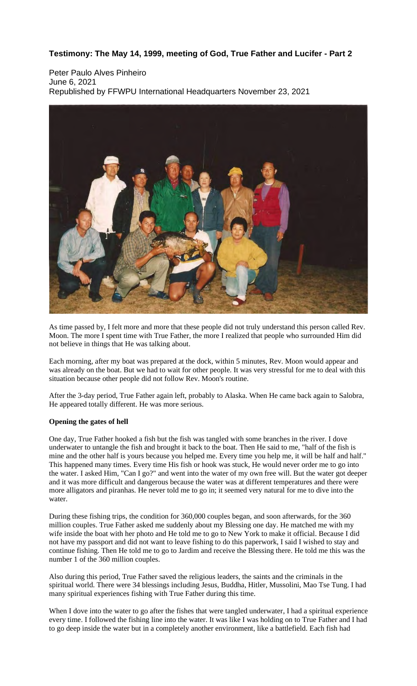## **Testimony: The May 14, 1999, meeting of God, True Father and Lucifer - Part 2**

Peter Paulo Alves Pinheiro June 6, 2021 Republished by FFWPU International Headquarters November 23, 2021



As time passed by, I felt more and more that these people did not truly understand this person called Rev. Moon. The more I spent time with True Father, the more I realized that people who surrounded Him did not believe in things that He was talking about.

Each morning, after my boat was prepared at the dock, within 5 minutes, Rev. Moon would appear and was already on the boat. But we had to wait for other people. It was very stressful for me to deal with this situation because other people did not follow Rev. Moon's routine.

After the 3-day period, True Father again left, probably to Alaska. When He came back again to Salobra, He appeared totally different. He was more serious.

## **Opening the gates of hell**

One day, True Father hooked a fish but the fish was tangled with some branches in the river. I dove underwater to untangle the fish and brought it back to the boat. Then He said to me, "half of the fish is mine and the other half is yours because you helped me. Every time you help me, it will be half and half." This happened many times. Every time His fish or hook was stuck, He would never order me to go into the water. I asked Him, "Can I go?" and went into the water of my own free will. But the water got deeper and it was more difficult and dangerous because the water was at different temperatures and there were more alligators and piranhas. He never told me to go in; it seemed very natural for me to dive into the water.

During these fishing trips, the condition for 360,000 couples began, and soon afterwards, for the 360 million couples. True Father asked me suddenly about my Blessing one day. He matched me with my wife inside the boat with her photo and He told me to go to New York to make it official. Because I did not have my passport and did not want to leave fishing to do this paperwork, I said I wished to stay and continue fishing. Then He told me to go to Jardim and receive the Blessing there. He told me this was the number 1 of the 360 million couples.

Also during this period, True Father saved the religious leaders, the saints and the criminals in the spiritual world. There were 34 blessings including Jesus, Buddha, Hitler, Mussolini, Mao Tse Tung. I had many spiritual experiences fishing with True Father during this time.

When I dove into the water to go after the fishes that were tangled underwater, I had a spiritual experience every time. I followed the fishing line into the water. It was like I was holding on to True Father and I had to go deep inside the water but in a completely another environment, like a battlefield. Each fish had